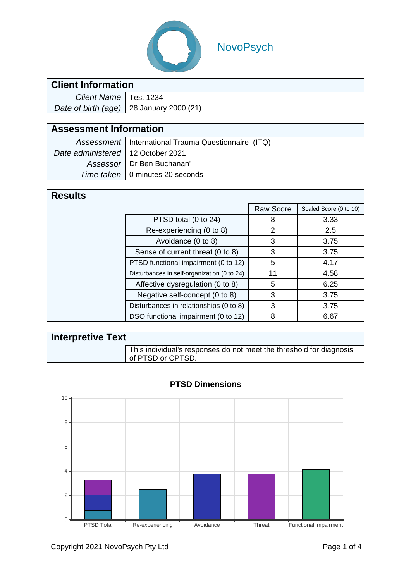

# NovoPsych

### **Client Information**

| Client Name   Test 1234 |                                             |
|-------------------------|---------------------------------------------|
|                         | Date of birth (age) $ 28$ January 2000 (21) |

## **Assessment Information**

|                                     | Assessment   International Trauma Questionnaire (ITQ) |
|-------------------------------------|-------------------------------------------------------|
| Date administered   12 October 2021 |                                                       |
|                                     | Assessor   Dr Ben Buchanan'                           |
|                                     | Time taken   0 minutes 20 seconds                     |

### **Results**

|  |                                             | <b>Raw Score</b> | Scaled Score (0 to 10) |
|--|---------------------------------------------|------------------|------------------------|
|  | PTSD total (0 to 24)                        | 8                | 3.33                   |
|  | Re-experiencing (0 to 8)                    | 2                | 2.5                    |
|  | Avoidance (0 to 8)                          | 3                | 3.75                   |
|  | Sense of current threat (0 to 8)            | 3                | 3.75                   |
|  | PTSD functional impairment (0 to 12)        | 5                | 4.17                   |
|  | Disturbances in self-organization (0 to 24) | 11               | 4.58                   |
|  | Affective dysregulation (0 to 8)            | 5                | 6.25                   |
|  | Negative self-concept (0 to 8)              | 3                | 3.75                   |
|  | Disturbances in relationships (0 to 8)      | 3                | 3.75                   |
|  | DSO functional impairment (0 to 12)         | 8                | 6.67                   |
|  |                                             |                  |                        |

| <b>Interpretive Text</b> |                                                                                          |  |  |  |  |
|--------------------------|------------------------------------------------------------------------------------------|--|--|--|--|
|                          | This individual's responses do not meet the threshold for diagnosis<br>of PTSD or CPTSD. |  |  |  |  |



#### **PTSD Dimensions**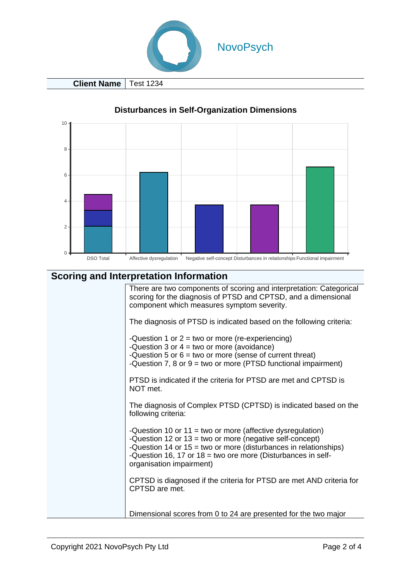

**Client Name** | Test 1234



#### **Disturbances in Self-Organization Dimensions**

#### **Scoring and Interpretation Information**

There are two components of scoring and interpretation: Categorical scoring for the diagnosis of PTSD and CPTSD, and a dimensional component which measures symptom severity.

The diagnosis of PTSD is indicated based on the following criteria:

- Question 1 or  $2 = two$  or more (re-experiencing)
- Question 3 or  $4 = two$  or more (avoidance)
- Question 5 or  $6 = two$  or more (sense of current threat)
- Question 7, 8 or  $9 = two$  or more (PTSD functional impairment)

PTSD is indicated if the criteria for PTSD are met and CPTSD is NOT met.

The diagnosis of Complex PTSD (CPTSD) is indicated based on the following criteria:

- Question 10 or 11 = two or more (affective dysregulation)
- Question 12 or 13 = two or more (negative self-concept)
- Question 14 or 15 = two or more (disturbances in relationships)
- Question 16, 17 or 18 = two ore more (Disturbances in selforganisation impairment)

CPTSD is diagnosed if the criteria for PTSD are met AND criteria for CPTSD are met.

Dimensional scores from 0 to 24 are presented for the two major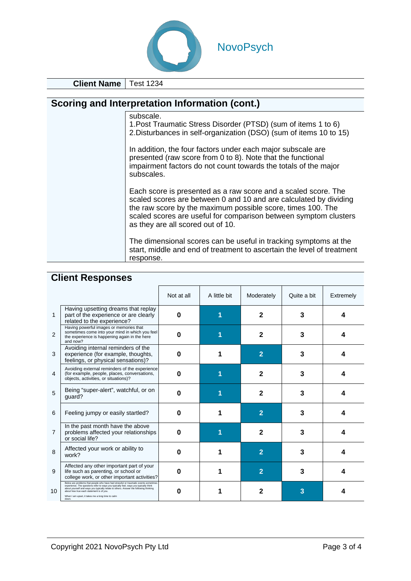

**Client Name** | Test 1234

| <b>Scoring and Interpretation Information (cont.)</b> |                                                                                                                                                                                                                                                                                                             |  |  |  |  |  |
|-------------------------------------------------------|-------------------------------------------------------------------------------------------------------------------------------------------------------------------------------------------------------------------------------------------------------------------------------------------------------------|--|--|--|--|--|
|                                                       | subscale.<br>1. Post Traumatic Stress Disorder (PTSD) (sum of items 1 to 6)<br>2. Disturbances in self-organization (DSO) (sum of items 10 to 15)                                                                                                                                                           |  |  |  |  |  |
|                                                       | In addition, the four factors under each major subscale are<br>presented (raw score from 0 to 8). Note that the functional<br>impairment factors do not count towards the totals of the major<br>subscales.                                                                                                 |  |  |  |  |  |
|                                                       | Each score is presented as a raw score and a scaled score. The<br>scaled scores are between 0 and 10 and are calculated by dividing<br>the raw score by the maximum possible score, times 100. The<br>scaled scores are useful for comparison between symptom clusters<br>as they are all scored out of 10. |  |  |  |  |  |
|                                                       | The dimensional scores can be useful in tracking symptoms at the<br>start, middle and end of treatment to ascertain the level of treatment<br>response.                                                                                                                                                     |  |  |  |  |  |

### **Client Responses**

|                |                                                                                                                                                                                                                                                                                                                                                                              | Not at all | A little bit | Moderately     | Quite a bit | Extremely |
|----------------|------------------------------------------------------------------------------------------------------------------------------------------------------------------------------------------------------------------------------------------------------------------------------------------------------------------------------------------------------------------------------|------------|--------------|----------------|-------------|-----------|
| 1              | Having upsetting dreams that replay<br>part of the experience or are clearly<br>related to the experience?                                                                                                                                                                                                                                                                   | O          |              | 2              | 3           |           |
| $\overline{2}$ | Having powerful images or memories that<br>sometimes come into your mind in which you feel<br>the experience is happening again in the here<br>and now?                                                                                                                                                                                                                      | $\bf{0}$   |              | 2              | 3           |           |
| 3              | Avoiding internal reminders of the<br>experience (for example, thoughts,<br>feelings, or physical sensations)?                                                                                                                                                                                                                                                               | 0          |              | $\overline{2}$ | 3           | Δ         |
| 4              | Avoiding external reminders of the experience<br>(for example, people, places, conversations,<br>objects, activities, or situations)?                                                                                                                                                                                                                                        | O          |              | 2              | 3           |           |
| 5              | Being "super-alert", watchful, or on<br>quard?                                                                                                                                                                                                                                                                                                                               | 0          |              | 2              | 3           |           |
| 6              | Feeling jumpy or easily startled?                                                                                                                                                                                                                                                                                                                                            | ŋ          |              | $\overline{2}$ | 3           | Δ         |
| $\overline{7}$ | In the past month have the above<br>problems affected your relationships<br>or social life?                                                                                                                                                                                                                                                                                  | 0          |              | 2              | 3           | 4         |
| 8              | Affected your work or ability to<br>work?                                                                                                                                                                                                                                                                                                                                    | 0          |              | $\overline{2}$ | 3           | Δ         |
| 9              | Affected any other important part of your<br>life such as parenting, or school or<br>college work, or other important activities?                                                                                                                                                                                                                                            | 0          |              | 2              | 3           | Δ         |
| 10             | Below are problems that people who have had stressful or traumatic events sometime<br>experience. The questions refer to ways you typically feel, ways you typically think<br>about yourself and ways you typically relate to others. Answer the following thinking<br>about how true each statement is of you.<br>When I am upset, it takes me a long time to calm<br>down. | O          |              |                |             |           |